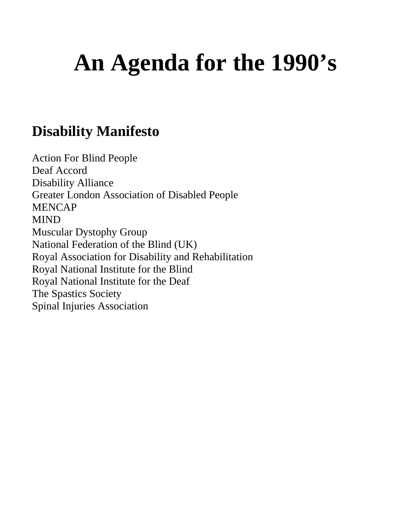# **An Agenda for the 1990's**

#### **Disability Manifesto**

Action For Blind People Deaf Accord Disability Alliance Greater London Association of Disabled People MENCAP MIND Muscular Dystophy Group National Federation of the Blind (UK) Royal Association for Disability and Rehabilitation Royal National Institute for the Blind Royal National Institute for the Deaf The Spastics Society Spinal Injuries Association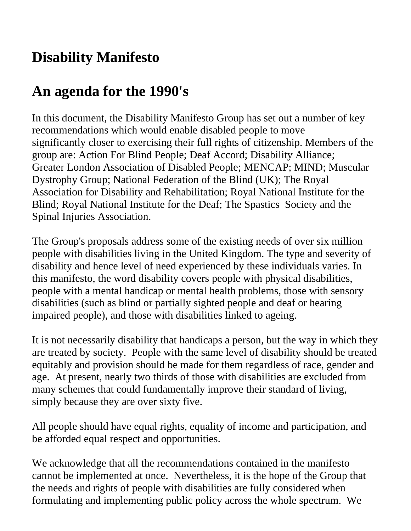### **Disability Manifesto**

### **An agenda for the 1990's**

In this document, the Disability Manifesto Group has set out a number of key recommendations which would enable disabled people to move significantly closer to exercising their full rights of citizenship. Members of the group are: Action For Blind People; Deaf Accord; Disability Alliance; Greater London Association of Disabled People; MENCAP; MIND; Muscular Dystrophy Group; National Federation of the Blind (UK); The Royal Association for Disability and Rehabilitation; Royal National Institute for the Blind; Royal National Institute for the Deaf; The Spastics Society and the Spinal Injuries Association.

The Group's proposals address some of the existing needs of over six million people with disabilities living in the United Kingdom. The type and severity of disability and hence level of need experienced by these individuals varies. In this manifesto, the word disability covers people with physical disabilities, people with a mental handicap or mental health problems, those with sensory disabilities (such as blind or partially sighted people and deaf or hearing impaired people), and those with disabilities linked to ageing.

It is not necessarily disability that handicaps a person, but the way in which they are treated by society. People with the same level of disability should be treated equitably and provision should be made for them regardless of race, gender and age. At present, nearly two thirds of those with disabilities are excluded from many schemes that could fundamentally improve their standard of living, simply because they are over sixty five.

All people should have equal rights, equality of income and participation, and be afforded equal respect and opportunities.

We acknowledge that all the recommendations contained in the manifesto cannot be implemented at once. Nevertheless, it is the hope of the Group that the needs and rights of people with disabilities are fully considered when formulating and implementing public policy across the whole spectrum. We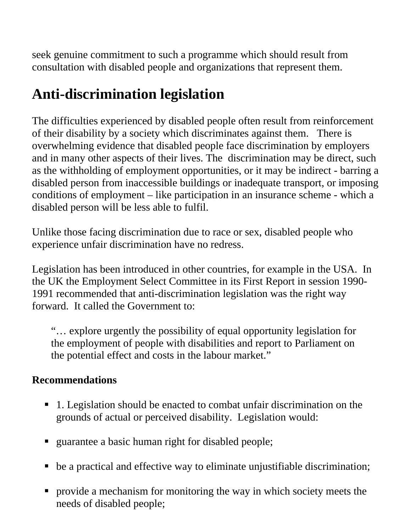seek genuine commitment to such a programme which should result from consultation with disabled people and organizations that represent them.

## **Anti-discrimination legislation**

The difficulties experienced by disabled people often result from reinforcement of their disability by a society which discriminates against them. There is overwhelming evidence that disabled people face discrimination by employers and in many other aspects of their lives. The discrimination may be direct, such as the withholding of employment opportunities, or it may be indirect - barring a disabled person from inaccessible buildings or inadequate transport, or imposing conditions of employment – like participation in an insurance scheme - which a disabled person will be less able to fulfil.

Unlike those facing discrimination due to race or sex, disabled people who experience unfair discrimination have no redress.

Legislation has been introduced in other countries, for example in the USA. In the UK the Employment Select Committee in its First Report in session 1990- 1991 recommended that anti-discrimination legislation was the right way forward. It called the Government to:

"… explore urgently the possibility of equal opportunity legislation for the employment of people with disabilities and report to Parliament on the potential effect and costs in the labour market."

- 1. Legislation should be enacted to combat unfair discrimination on the grounds of actual or perceived disability. Legislation would:
- guarantee a basic human right for disabled people;
- be a practical and effective way to eliminate unjustifiable discrimination;
- **Perovide a mechanism for monitoring the way in which society meets the** needs of disabled people;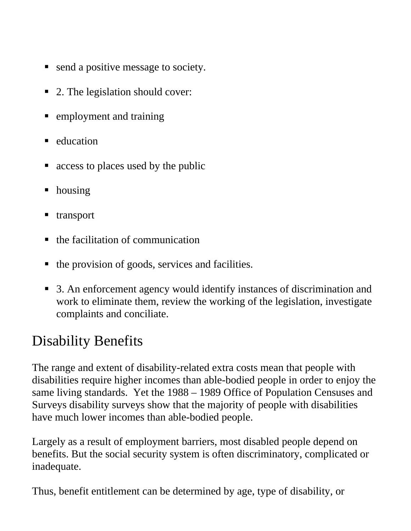- send a positive message to society.
- 2. The legislation should cover:
- **Example yment and training**
- $\blacksquare$  education
- access to places used by the public
- housing
- **transport**
- $\blacksquare$  the facilitation of communication
- $\blacksquare$  the provision of goods, services and facilities.
- 3. An enforcement agency would identify instances of discrimination and work to eliminate them, review the working of the legislation, investigate complaints and conciliate.

### Disability Benefits

The range and extent of disability-related extra costs mean that people with disabilities require higher incomes than able-bodied people in order to enjoy the same living standards. Yet the 1988 – 1989 Office of Population Censuses and Surveys disability surveys show that the majority of people with disabilities have much lower incomes than able-bodied people.

Largely as a result of employment barriers, most disabled people depend on benefits. But the social security system is often discriminatory, complicated or inadequate.

Thus, benefit entitlement can be determined by age, type of disability, or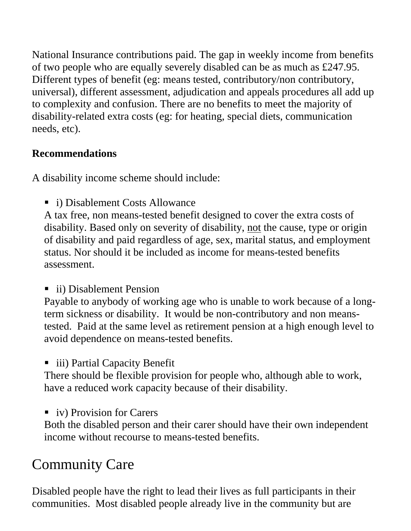National Insurance contributions paid. The gap in weekly income from benefits of two people who are equally severely disabled can be as much as £247.95. Different types of benefit (eg: means tested, contributory/non contributory, universal), different assessment, adjudication and appeals procedures all add up to complexity and confusion. There are no benefits to meet the majority of disability-related extra costs (eg: for heating, special diets, communication needs, etc).

#### **Recommendations**

A disability income scheme should include:

■ i) Disablement Costs Allowance

A tax free, non means-tested benefit designed to cover the extra costs of disability. Based only on severity of disability, not the cause, type or origin of disability and paid regardless of age, sex, marital status, and employment status. Nor should it be included as income for means-tested benefits assessment.

■ ii) Disablement Pension

Payable to anybody of working age who is unable to work because of a longterm sickness or disability. It would be non-contributory and non meanstested. Paid at the same level as retirement pension at a high enough level to avoid dependence on means-tested benefits.

■ iii) Partial Capacity Benefit

There should be flexible provision for people who, although able to work, have a reduced work capacity because of their disability.

viv) Provision for Carers

Both the disabled person and their carer should have their own independent income without recourse to means-tested benefits.

# Community Care

Disabled people have the right to lead their lives as full participants in their communities. Most disabled people already live in the community but are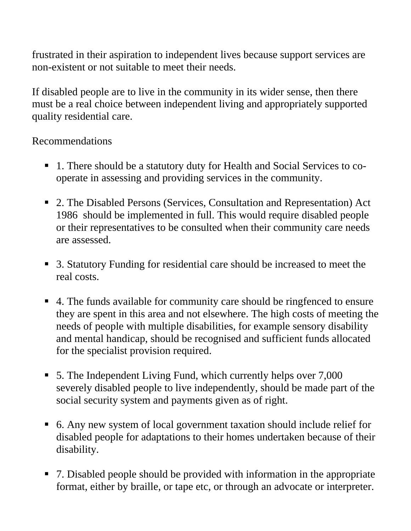frustrated in their aspiration to independent lives because support services are non-existent or not suitable to meet their needs.

If disabled people are to live in the community in its wider sense, then there must be a real choice between independent living and appropriately supported quality residential care.

- 1. There should be a statutory duty for Health and Social Services to cooperate in assessing and providing services in the community.
- 2. The Disabled Persons (Services, Consultation and Representation) Act 1986 should be implemented in full. This would require disabled people or their representatives to be consulted when their community care needs are assessed.
- 3. Statutory Funding for residential care should be increased to meet the real costs.
- 4. The funds available for community care should be ringfenced to ensure they are spent in this area and not elsewhere. The high costs of meeting the needs of people with multiple disabilities, for example sensory disability and mental handicap, should be recognised and sufficient funds allocated for the specialist provision required.
- 5. The Independent Living Fund, which currently helps over 7,000 severely disabled people to live independently, should be made part of the social security system and payments given as of right.
- 6. Any new system of local government taxation should include relief for disabled people for adaptations to their homes undertaken because of their disability.
- 7. Disabled people should be provided with information in the appropriate format, either by braille, or tape etc, or through an advocate or interpreter.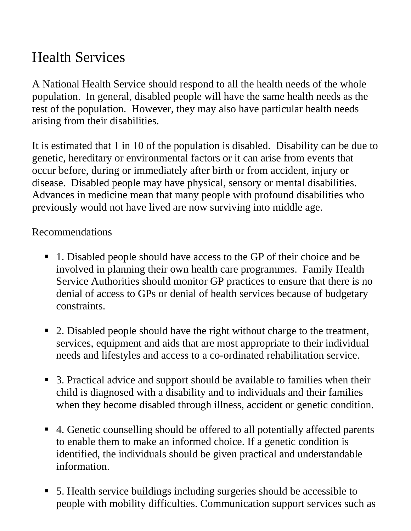### Health Services

A National Health Service should respond to all the health needs of the whole population. In general, disabled people will have the same health needs as the rest of the population. However, they may also have particular health needs arising from their disabilities.

It is estimated that 1 in 10 of the population is disabled. Disability can be due to genetic, hereditary or environmental factors or it can arise from events that occur before, during or immediately after birth or from accident, injury or disease. Disabled people may have physical, sensory or mental disabilities. Advances in medicine mean that many people with profound disabilities who previously would not have lived are now surviving into middle age.

- 1. Disabled people should have access to the GP of their choice and be involved in planning their own health care programmes. Family Health Service Authorities should monitor GP practices to ensure that there is no denial of access to GPs or denial of health services because of budgetary constraints.
- 2. Disabled people should have the right without charge to the treatment, services, equipment and aids that are most appropriate to their individual needs and lifestyles and access to a co-ordinated rehabilitation service.
- 3. Practical advice and support should be available to families when their child is diagnosed with a disability and to individuals and their families when they become disabled through illness, accident or genetic condition.
- 4. Genetic counselling should be offered to all potentially affected parents to enable them to make an informed choice. If a genetic condition is identified, the individuals should be given practical and understandable information.
- 5. Health service buildings including surgeries should be accessible to people with mobility difficulties. Communication support services such as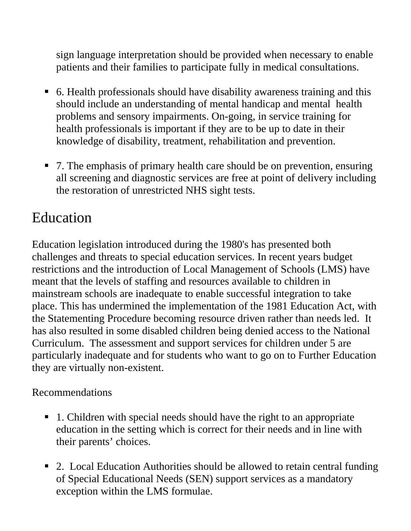sign language interpretation should be provided when necessary to enable patients and their families to participate fully in medical consultations.

- 6. Health professionals should have disability awareness training and this should include an understanding of mental handicap and mental health problems and sensory impairments. On-going, in service training for health professionals is important if they are to be up to date in their knowledge of disability, treatment, rehabilitation and prevention.
- 7. The emphasis of primary health care should be on prevention, ensuring all screening and diagnostic services are free at point of delivery including the restoration of unrestricted NHS sight tests.

#### Education

Education legislation introduced during the 1980's has presented both challenges and threats to special education services. In recent years budget restrictions and the introduction of Local Management of Schools (LMS) have meant that the levels of staffing and resources available to children in mainstream schools are inadequate to enable successful integration to take place. This has undermined the implementation of the 1981 Education Act, with the Statementing Procedure becoming resource driven rather than needs led. It has also resulted in some disabled children being denied access to the National Curriculum. The assessment and support services for children under 5 are particularly inadequate and for students who want to go on to Further Education they are virtually non-existent.

- 1. Children with special needs should have the right to an appropriate education in the setting which is correct for their needs and in line with their parents' choices.
- 2. Local Education Authorities should be allowed to retain central funding of Special Educational Needs (SEN) support services as a mandatory exception within the LMS formulae.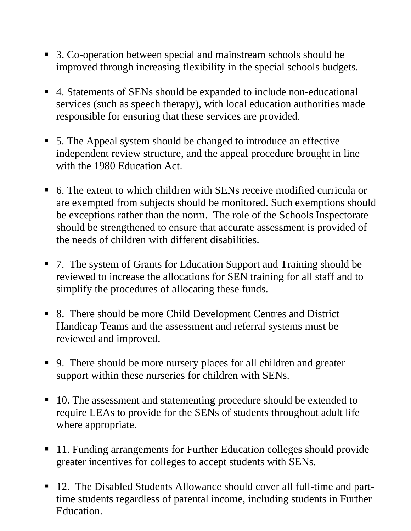- 3. Co-operation between special and mainstream schools should be improved through increasing flexibility in the special schools budgets.
- 4. Statements of SENs should be expanded to include non-educational services (such as speech therapy), with local education authorities made responsible for ensuring that these services are provided.
- 5. The Appeal system should be changed to introduce an effective independent review structure, and the appeal procedure brought in line with the 1980 Education Act.
- 6. The extent to which children with SENs receive modified curricula or are exempted from subjects should be monitored. Such exemptions should be exceptions rather than the norm. The role of the Schools Inspectorate should be strengthened to ensure that accurate assessment is provided of the needs of children with different disabilities.
- 7. The system of Grants for Education Support and Training should be reviewed to increase the allocations for SEN training for all staff and to simplify the procedures of allocating these funds.
- 8. There should be more Child Development Centres and District Handicap Teams and the assessment and referral systems must be reviewed and improved.
- 9. There should be more nursery places for all children and greater support within these nurseries for children with SENs.
- 10. The assessment and statementing procedure should be extended to require LEAs to provide for the SENs of students throughout adult life where appropriate.
- 11. Funding arrangements for Further Education colleges should provide greater incentives for colleges to accept students with SENs.
- 12. The Disabled Students Allowance should cover all full-time and parttime students regardless of parental income, including students in Further Education.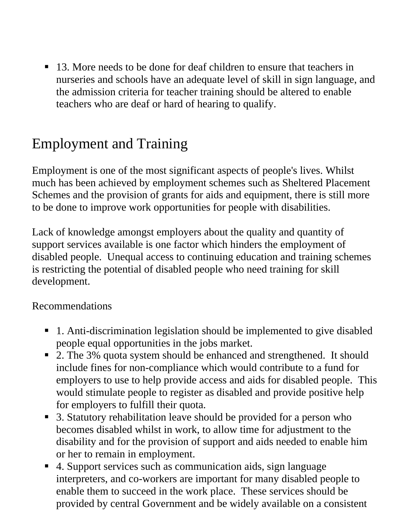■ 13. More needs to be done for deaf children to ensure that teachers in nurseries and schools have an adequate level of skill in sign language, and the admission criteria for teacher training should be altered to enable teachers who are deaf or hard of hearing to qualify.

### Employment and Training

Employment is one of the most significant aspects of people's lives. Whilst much has been achieved by employment schemes such as Sheltered Placement Schemes and the provision of grants for aids and equipment, there is still more to be done to improve work opportunities for people with disabilities.

Lack of knowledge amongst employers about the quality and quantity of support services available is one factor which hinders the employment of disabled people. Unequal access to continuing education and training schemes is restricting the potential of disabled people who need training for skill development.

- 1. Anti-discrimination legislation should be implemented to give disabled people equal opportunities in the jobs market.
- 2. The 3% quota system should be enhanced and strengthened. It should include fines for non-compliance which would contribute to a fund for employers to use to help provide access and aids for disabled people. This would stimulate people to register as disabled and provide positive help for employers to fulfill their quota.
- 3. Statutory rehabilitation leave should be provided for a person who becomes disabled whilst in work, to allow time for adjustment to the disability and for the provision of support and aids needed to enable him or her to remain in employment.
- 4. Support services such as communication aids, sign language interpreters, and co-workers are important for many disabled people to enable them to succeed in the work place. These services should be provided by central Government and be widely available on a consistent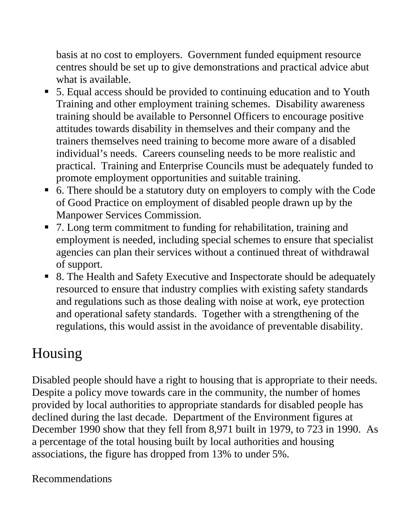basis at no cost to employers. Government funded equipment resource centres should be set up to give demonstrations and practical advice abut what is available.

- 5. Equal access should be provided to continuing education and to Youth Training and other employment training schemes. Disability awareness training should be available to Personnel Officers to encourage positive attitudes towards disability in themselves and their company and the trainers themselves need training to become more aware of a disabled individual's needs. Careers counseling needs to be more realistic and practical. Training and Enterprise Councils must be adequately funded to promote employment opportunities and suitable training.
- 6. There should be a statutory duty on employers to comply with the Code of Good Practice on employment of disabled people drawn up by the Manpower Services Commission.
- 7. Long term commitment to funding for rehabilitation, training and employment is needed, including special schemes to ensure that specialist agencies can plan their services without a continued threat of withdrawal of support.
- 8. The Health and Safety Executive and Inspectorate should be adequately resourced to ensure that industry complies with existing safety standards and regulations such as those dealing with noise at work, eye protection and operational safety standards. Together with a strengthening of the regulations, this would assist in the avoidance of preventable disability.

### Housing

Disabled people should have a right to housing that is appropriate to their needs. Despite a policy move towards care in the community, the number of homes provided by local authorities to appropriate standards for disabled people has declined during the last decade. Department of the Environment figures at December 1990 show that they fell from 8,971 built in 1979, to 723 in 1990. As a percentage of the total housing built by local authorities and housing associations, the figure has dropped from 13% to under 5%.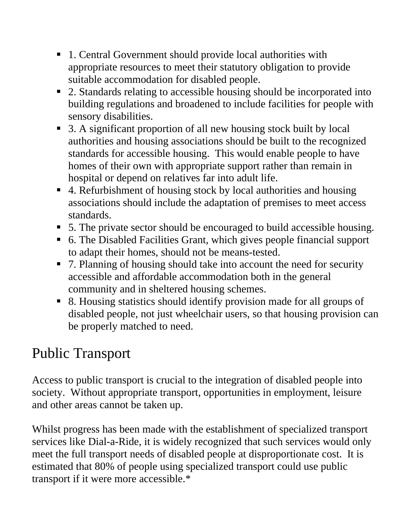- 1. Central Government should provide local authorities with appropriate resources to meet their statutory obligation to provide suitable accommodation for disabled people.
- 2. Standards relating to accessible housing should be incorporated into building regulations and broadened to include facilities for people with sensory disabilities.
- 3. A significant proportion of all new housing stock built by local authorities and housing associations should be built to the recognized standards for accessible housing. This would enable people to have homes of their own with appropriate support rather than remain in hospital or depend on relatives far into adult life.
- 4. Refurbishment of housing stock by local authorities and housing associations should include the adaptation of premises to meet access standards.
- 5. The private sector should be encouraged to build accessible housing.
- 6. The Disabled Facilities Grant, which gives people financial support to adapt their homes, should not be means-tested.
- 7. Planning of housing should take into account the need for security accessible and affordable accommodation both in the general community and in sheltered housing schemes.
- 8. Housing statistics should identify provision made for all groups of disabled people, not just wheelchair users, so that housing provision can be properly matched to need.

### Public Transport

Access to public transport is crucial to the integration of disabled people into society. Without appropriate transport, opportunities in employment, leisure and other areas cannot be taken up.

Whilst progress has been made with the establishment of specialized transport services like Dial-a-Ride, it is widely recognized that such services would only meet the full transport needs of disabled people at disproportionate cost. It is estimated that 80% of people using specialized transport could use public transport if it were more accessible.\*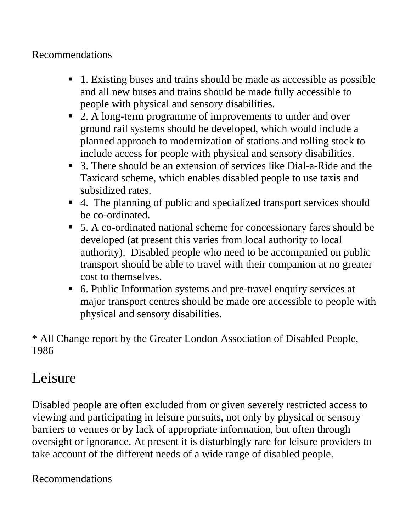#### Recommendations

- 1. Existing buses and trains should be made as accessible as possible and all new buses and trains should be made fully accessible to people with physical and sensory disabilities.
- 2. A long-term programme of improvements to under and over ground rail systems should be developed, which would include a planned approach to modernization of stations and rolling stock to include access for people with physical and sensory disabilities.
- 3. There should be an extension of services like Dial-a-Ride and the Taxicard scheme, which enables disabled people to use taxis and subsidized rates.
- 4. The planning of public and specialized transport services should be co-ordinated.
- 5. A co-ordinated national scheme for concessionary fares should be developed (at present this varies from local authority to local authority). Disabled people who need to be accompanied on public transport should be able to travel with their companion at no greater cost to themselves.
- 6. Public Information systems and pre-travel enquiry services at major transport centres should be made ore accessible to people with physical and sensory disabilities.

\* All Change report by the Greater London Association of Disabled People, 1986

### Leisure

Disabled people are often excluded from or given severely restricted access to viewing and participating in leisure pursuits, not only by physical or sensory barriers to venues or by lack of appropriate information, but often through oversight or ignorance. At present it is disturbingly rare for leisure providers to take account of the different needs of a wide range of disabled people.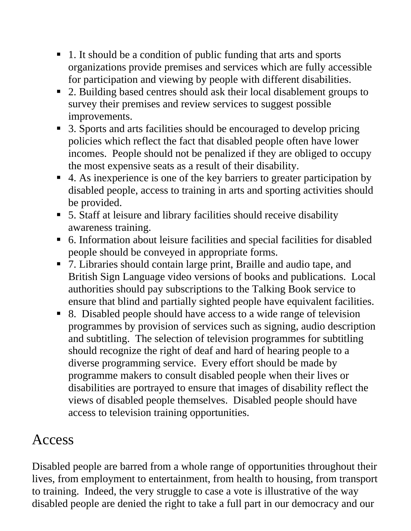- 1. It should be a condition of public funding that arts and sports organizations provide premises and services which are fully accessible for participation and viewing by people with different disabilities.
- 2. Building based centres should ask their local disablement groups to survey their premises and review services to suggest possible improvements.
- 3. Sports and arts facilities should be encouraged to develop pricing policies which reflect the fact that disabled people often have lower incomes. People should not be penalized if they are obliged to occupy the most expensive seats as a result of their disability.
- 4. As inexperience is one of the key barriers to greater participation by disabled people, access to training in arts and sporting activities should be provided.
- 5. Staff at leisure and library facilities should receive disability awareness training.
- 6. Information about leisure facilities and special facilities for disabled people should be conveyed in appropriate forms.
- 7. Libraries should contain large print, Braille and audio tape, and British Sign Language video versions of books and publications. Local authorities should pay subscriptions to the Talking Book service to ensure that blind and partially sighted people have equivalent facilities.
- 8. Disabled people should have access to a wide range of television programmes by provision of services such as signing, audio description and subtitling. The selection of television programmes for subtitling should recognize the right of deaf and hard of hearing people to a diverse programming service. Every effort should be made by programme makers to consult disabled people when their lives or disabilities are portrayed to ensure that images of disability reflect the views of disabled people themselves. Disabled people should have access to television training opportunities.

#### Access

Disabled people are barred from a whole range of opportunities throughout their lives, from employment to entertainment, from health to housing, from transport to training. Indeed, the very struggle to case a vote is illustrative of the way disabled people are denied the right to take a full part in our democracy and our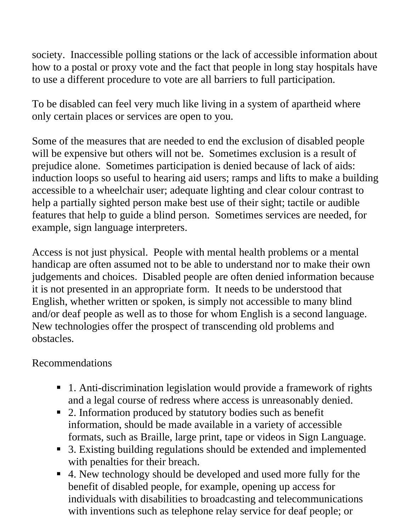society. Inaccessible polling stations or the lack of accessible information about how to a postal or proxy vote and the fact that people in long stay hospitals have to use a different procedure to vote are all barriers to full participation.

To be disabled can feel very much like living in a system of apartheid where only certain places or services are open to you.

Some of the measures that are needed to end the exclusion of disabled people will be expensive but others will not be. Sometimes exclusion is a result of prejudice alone. Sometimes participation is denied because of lack of aids: induction loops so useful to hearing aid users; ramps and lifts to make a building accessible to a wheelchair user; adequate lighting and clear colour contrast to help a partially sighted person make best use of their sight; tactile or audible features that help to guide a blind person. Sometimes services are needed, for example, sign language interpreters.

Access is not just physical. People with mental health problems or a mental handicap are often assumed not to be able to understand nor to make their own judgements and choices. Disabled people are often denied information because it is not presented in an appropriate form. It needs to be understood that English, whether written or spoken, is simply not accessible to many blind and/or deaf people as well as to those for whom English is a second language. New technologies offer the prospect of transcending old problems and obstacles.

- 1. Anti-discrimination legislation would provide a framework of rights and a legal course of redress where access is unreasonably denied.
- 2. Information produced by statutory bodies such as benefit information, should be made available in a variety of accessible formats, such as Braille, large print, tape or videos in Sign Language.
- 3. Existing building regulations should be extended and implemented with penalties for their breach.
- 4. New technology should be developed and used more fully for the benefit of disabled people, for example, opening up access for individuals with disabilities to broadcasting and telecommunications with inventions such as telephone relay service for deaf people; or